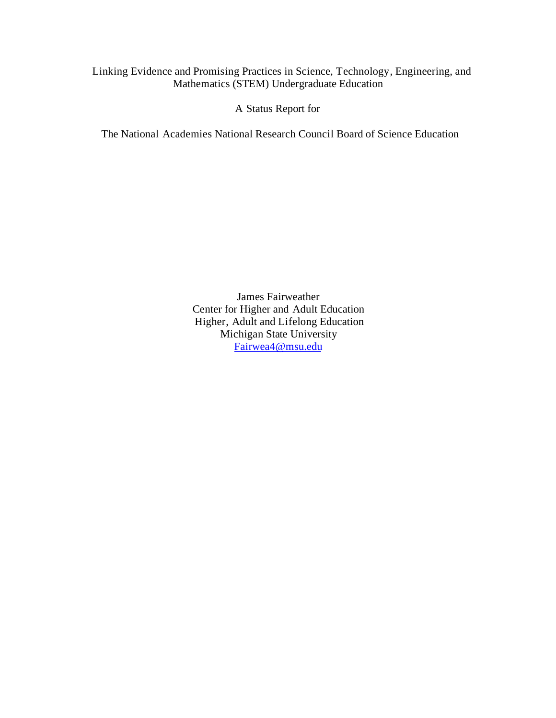# Linking Evidence and Promising Practices in Science, Technology, Engineering, and Mathematics (STEM) Undergraduate Education

A Status Report for

The National Academies National Research Council Board of Science Education

James Fairweather Center for Higher and Adult Education Higher, Adult and Lifelong Education Michigan State University [Fairwea4@msu.edu](mailto:Fairwea4@msu.edu)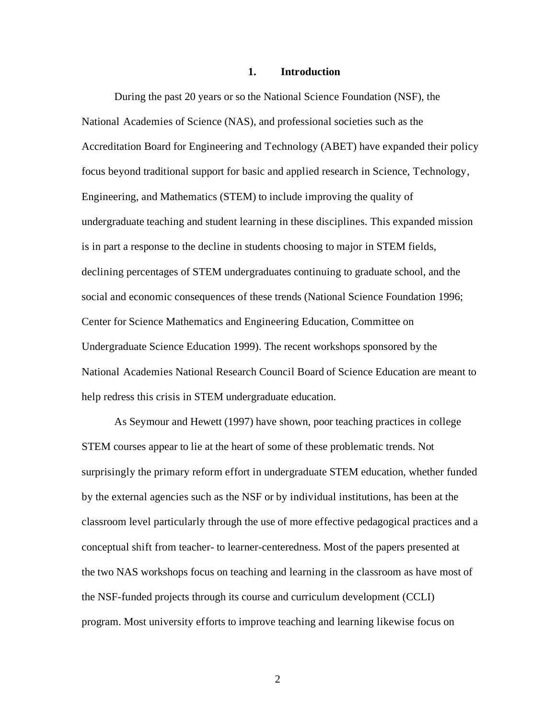#### **1. Introduction**

During the past 20 years or so the National Science Foundation (NSF), the National Academies of Science (NAS), and professional societies such as the Accreditation Board for Engineering and Technology (ABET) have expanded their policy focus beyond traditional support for basic and applied research in Science, Technology, Engineering, and Mathematics (STEM) to include improving the quality of undergraduate teaching and student learning in these disciplines. This expanded mission is in part a response to the decline in students choosing to major in STEM fields, declining percentages of STEM undergraduates continuing to graduate school, and the social and economic consequences of these trends (National Science Foundation 1996; Center for Science Mathematics and Engineering Education, Committee on Undergraduate Science Education 1999). The recent workshops sponsored by the National Academies National Research Council Board of Science Education are meant to help redress this crisis in STEM undergraduate education.

As Seymour and Hewett (1997) have shown, poor teaching practices in college STEM courses appear to lie at the heart of some of these problematic trends. Not surprisingly the primary reform effort in undergraduate STEM education, whether funded by the external agencies such as the NSF or by individual institutions, has been at the classroom level particularly through the use of more effective pedagogical practices and a conceptual shift from teacher- to learner-centeredness. Most of the papers presented at the two NAS workshops focus on teaching and learning in the classroom as have most of the NSF-funded projects through its course and curriculum development (CCLI) program. Most university efforts to improve teaching and learning likewise focus on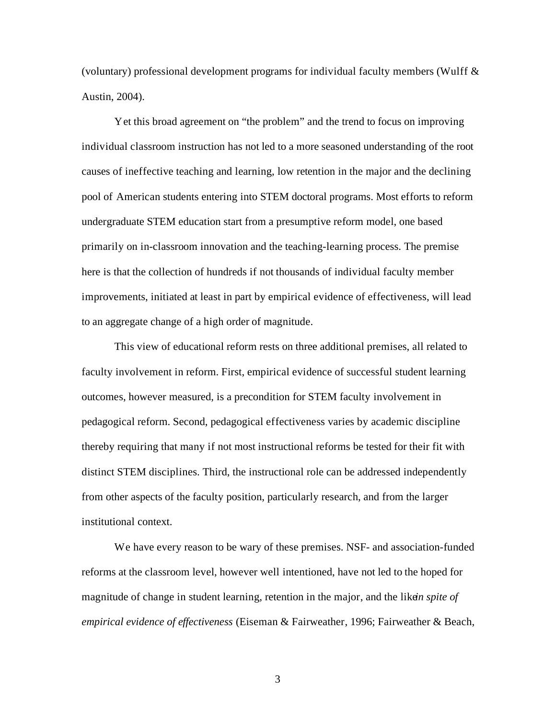(voluntary) professional development programs for individual faculty members (Wulff  $\&$ Austin, 2004).

Yet this broad agreement on "the problem" and the trend to focus on improving individual classroom instruction has not led to a more seasoned understanding of the root causes of ineffective teaching and learning, low retention in the major and the declining pool of American students entering into STEM doctoral programs. Most efforts to reform undergraduate STEM education start from a presumptive reform model, one based primarily on in-classroom innovation and the teaching-learning process. The premise here is that the collection of hundreds if not thousands of individual faculty member improvements, initiated at least in part by empirical evidence of effectiveness, will lead to an aggregate change of a high order of magnitude.

This view of educational reform rests on three additional premises, all related to faculty involvement in reform. First, empirical evidence of successful student learning outcomes, however measured, is a precondition for STEM faculty involvement in pedagogical reform. Second, pedagogical effectiveness varies by academic discipline thereby requiring that many if not most instructional reforms be tested for their fit with distinct STEM disciplines. Third, the instructional role can be addressed independently from other aspects of the faculty position, particularly research, and from the larger institutional context.

We have every reason to be wary of these premises. NSF- and association-funded reforms at the classroom level, however well intentioned, have not led to the hoped for magnitude of change in student learning, retention in the major, and the liker *spite of empirical evidence of effectiveness* (Eiseman & Fairweather, 1996; Fairweather & Beach,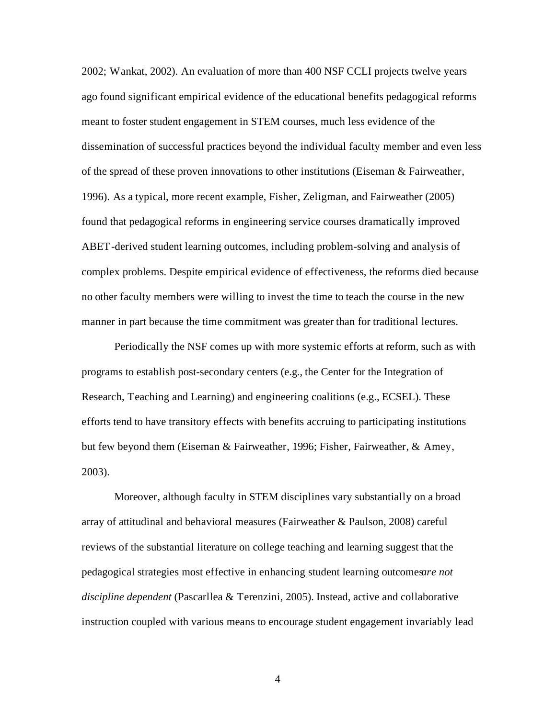2002; Wankat, 2002). An evaluation of more than 400 NSF CCLI projects twelve years ago found significant empirical evidence of the educational benefits pedagogical reforms meant to foster student engagement in STEM courses, much less evidence of the dissemination of successful practices beyond the individual faculty member and even less of the spread of these proven innovations to other institutions (Eiseman & Fairweather, 1996). As a typical, more recent example, Fisher, Zeligman, and Fairweather (2005) found that pedagogical reforms in engineering service courses dramatically improved ABET-derived student learning outcomes, including problem-solving and analysis of complex problems. Despite empirical evidence of effectiveness, the reforms died because no other faculty members were willing to invest the time to teach the course in the new manner in part because the time commitment was greater than for traditional lectures.

Periodically the NSF comes up with more systemic efforts at reform, such as with programs to establish post-secondary centers (e.g., the Center for the Integration of Research, Teaching and Learning) and engineering coalitions (e.g., ECSEL). These efforts tend to have transitory effects with benefits accruing to participating institutions but few beyond them (Eiseman & Fairweather, 1996; Fisher, Fairweather, & Amey, 2003).

Moreover, although faculty in STEM disciplines vary substantially on a broad array of attitudinal and behavioral measures (Fairweather & Paulson, 2008) careful reviews of the substantial literature on college teaching and learning suggest that the pedagogical strategies most effective in enhancing student learning outcomes *are not discipline dependent* (Pascarllea & Terenzini, 2005). Instead, active and collaborative instruction coupled with various means to encourage student engagement invariably lead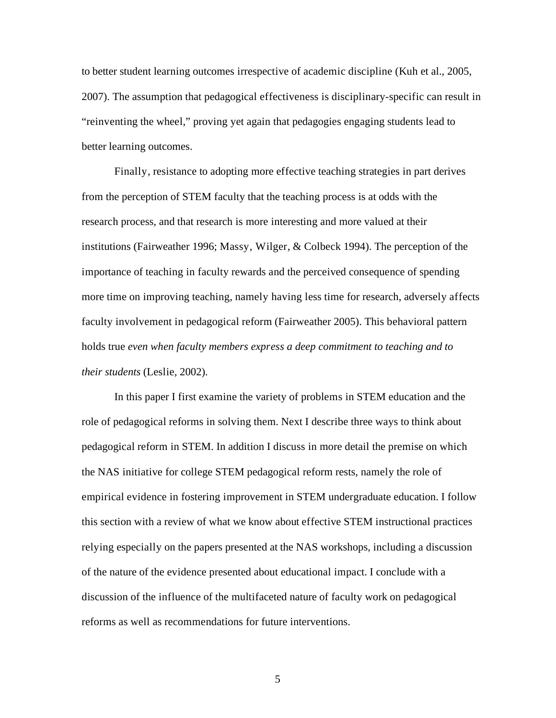to better student learning outcomes irrespective of academic discipline (Kuh et al., 2005, 2007). The assumption that pedagogical effectiveness is disciplinary-specific can result in "reinventing the wheel," proving yet again that pedagogies engaging students lead to better learning outcomes.

Finally, resistance to adopting more effective teaching strategies in part derives from the perception of STEM faculty that the teaching process is at odds with the research process, and that research is more interesting and more valued at their institutions (Fairweather 1996; Massy, Wilger, & Colbeck 1994). The perception of the importance of teaching in faculty rewards and the perceived consequence of spending more time on improving teaching, namely having less time for research, adversely affects faculty involvement in pedagogical reform (Fairweather 2005). This behavioral pattern holds true *even when faculty members express a deep commitment to teaching and to their students* (Leslie, 2002).

In this paper I first examine the variety of problems in STEM education and the role of pedagogical reforms in solving them. Next I describe three ways to think about pedagogical reform in STEM. In addition I discuss in more detail the premise on which the NAS initiative for college STEM pedagogical reform rests, namely the role of empirical evidence in fostering improvement in STEM undergraduate education. I follow this section with a review of what we know about effective STEM instructional practices relying especially on the papers presented at the NAS workshops, including a discussion of the nature of the evidence presented about educational impact. I conclude with a discussion of the influence of the multifaceted nature of faculty work on pedagogical reforms as well as recommendations for future interventions.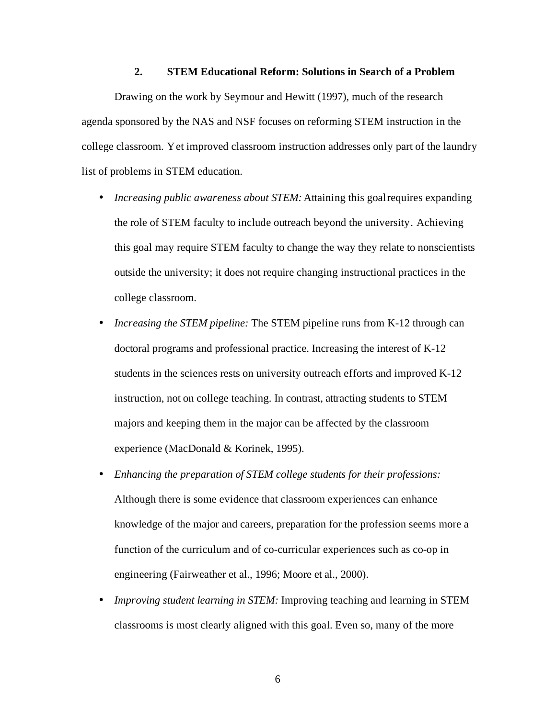## **2. STEM Educational Reform: Solutions in Search of a Problem**

Drawing on the work by Seymour and Hewitt (1997), much of the research agenda sponsored by the NAS and NSF focuses on reforming STEM instruction in the college classroom. Yet improved classroom instruction addresses only part of the laundry list of problems in STEM education.

- *Increasing public awareness about STEM:* Attaining this goal requires expanding the role of STEM faculty to include outreach beyond the university. Achieving this goal may require STEM faculty to change the way they relate to nonscientists outside the university; it does not require changing instructional practices in the college classroom.
- *Increasing the STEM pipeline:* The STEM pipeline runs from K-12 through can doctoral programs and professional practice. Increasing the interest of K-12 students in the sciences rests on university outreach efforts and improved K-12 instruction, not on college teaching. In contrast, attracting students to STEM majors and keeping them in the major can be affected by the classroom experience (MacDonald & Korinek, 1995).
- *Enhancing the preparation of STEM college students for their professions:*  Although there is some evidence that classroom experiences can enhance knowledge of the major and careers, preparation for the profession seems more a function of the curriculum and of co-curricular experiences such as co-op in engineering (Fairweather et al., 1996; Moore et al., 2000).
- *Improving student learning in STEM:* Improving teaching and learning in STEM classrooms is most clearly aligned with this goal. Even so, many of the more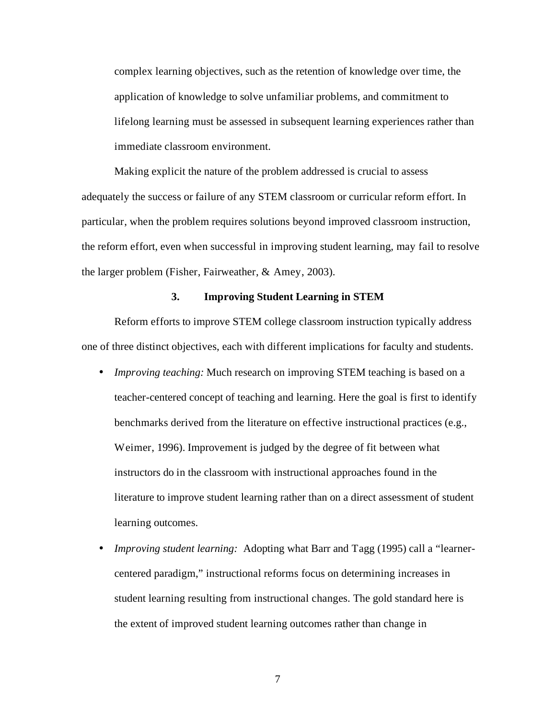complex learning objectives, such as the retention of knowledge over time, the application of knowledge to solve unfamiliar problems, and commitment to lifelong learning must be assessed in subsequent learning experiences rather than immediate classroom environment.

Making explicit the nature of the problem addressed is crucial to assess adequately the success or failure of any STEM classroom or curricular reform effort. In particular, when the problem requires solutions beyond improved classroom instruction, the reform effort, even when successful in improving student learning, may fail to resolve the larger problem (Fisher, Fairweather, & Amey, 2003).

### **3. Improving Student Learning in STEM**

Reform efforts to improve STEM college classroom instruction typically address one of three distinct objectives, each with different implications for faculty and students.

- *Improving teaching:* Much research on improving STEM teaching is based on a teacher-centered concept of teaching and learning. Here the goal is first to identify benchmarks derived from the literature on effective instructional practices (e.g., Weimer, 1996). Improvement is judged by the degree of fit between what instructors do in the classroom with instructional approaches found in the literature to improve student learning rather than on a direct assessment of student learning outcomes.
- *Improving student learning:* Adopting what Barr and Tagg (1995) call a "learnercentered paradigm," instructional reforms focus on determining increases in student learning resulting from instructional changes. The gold standard here is the extent of improved student learning outcomes rather than change in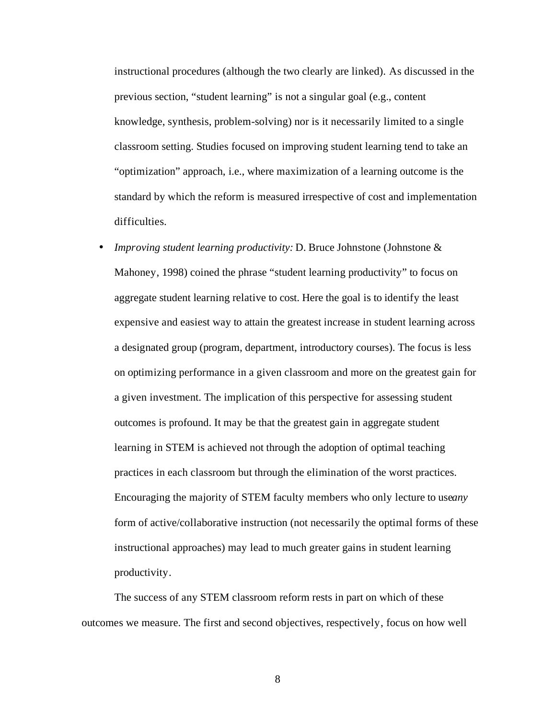instructional procedures (although the two clearly are linked). As discussed in the previous section, "student learning" is not a singular goal (e.g., content knowledge, synthesis, problem-solving) nor is it necessarily limited to a single classroom setting. Studies focused on improving student learning tend to take an "optimization" approach, i.e., where maximization of a learning outcome is the standard by which the reform is measured irrespective of cost and implementation difficulties.

• *Improving student learning productivity:* D. Bruce Johnstone (Johnstone & Mahoney, 1998) coined the phrase "student learning productivity" to focus on aggregate student learning relative to cost. Here the goal is to identify the least expensive and easiest way to attain the greatest increase in student learning across a designated group (program, department, introductory courses). The focus is less on optimizing performance in a given classroom and more on the greatest gain for a given investment. The implication of this perspective for assessing student outcomes is profound. It may be that the greatest gain in aggregate student learning in STEM is achieved not through the adoption of optimal teaching practices in each classroom but through the elimination of the worst practices. Encouraging the majority of STEM faculty members who only lecture to useany form of active/collaborative instruction (not necessarily the optimal forms of these instructional approaches) may lead to much greater gains in student learning productivity.

The success of any STEM classroom reform rests in part on which of these outcomes we measure. The first and second objectives, respectively, focus on how well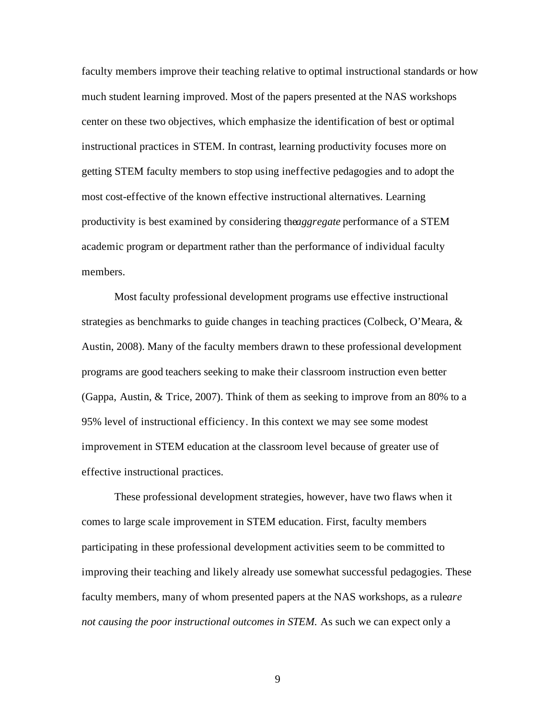faculty members improve their teaching relative to optimal instructional standards or how much student learning improved. Most of the papers presented at the NAS workshops center on these two objectives, which emphasize the identification of best or optimal instructional practices in STEM. In contrast, learning productivity focuses more on getting STEM faculty members to stop using ineffective pedagogies and to adopt the most cost-effective of the known effective instructional alternatives. Learning productivity is best examined by considering the *aggregate* performance of a STEM academic program or department rather than the performance of individual faculty members.

Most faculty professional development programs use effective instructional strategies as benchmarks to guide changes in teaching practices (Colbeck, O'Meara, & Austin, 2008). Many of the faculty members drawn to these professional development programs are good teachers seeking to make their classroom instruction even better (Gappa, Austin, & Trice, 2007). Think of them as seeking to improve from an 80% to a 95% level of instructional efficiency. In this context we may see some modest improvement in STEM education at the classroom level because of greater use of effective instructional practices.

These professional development strategies, however, have two flaws when it comes to large scale improvement in STEM education. First, faculty members participating in these professional development activities seem to be committed to improving their teaching and likely already use somewhat successful pedagogies. These faculty members, many of whom presented papers at the NAS workshops, as a ruleare *not causing the poor instructional outcomes in STEM.* As such we can expect only a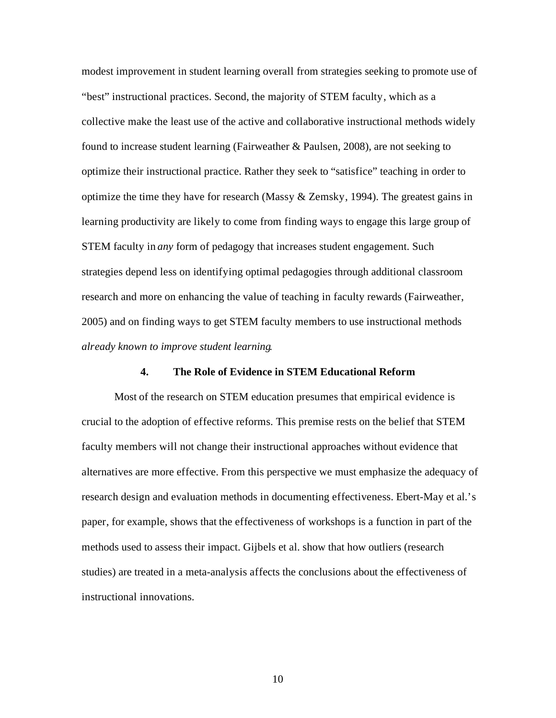modest improvement in student learning overall from strategies seeking to promote use of "best" instructional practices. Second, the majority of STEM faculty, which as a collective make the least use of the active and collaborative instructional methods widely found to increase student learning (Fairweather & Paulsen, 2008), are not seeking to optimize their instructional practice. Rather they seek to "satisfice" teaching in order to optimize the time they have for research (Massy & Zemsky, 1994). The greatest gains in learning productivity are likely to come from finding ways to engage this large group of STEM faculty in *any* form of pedagogy that increases student engagement. Such strategies depend less on identifying optimal pedagogies through additional classroom research and more on enhancing the value of teaching in faculty rewards (Fairweather, 2005) and on finding ways to get STEM faculty members to use instructional methods *already known to improve student learning*.

### **4. The Role of Evidence in STEM Educational Reform**

Most of the research on STEM education presumes that empirical evidence is crucial to the adoption of effective reforms. This premise rests on the belief that STEM faculty members will not change their instructional approaches without evidence that alternatives are more effective. From this perspective we must emphasize the adequacy of research design and evaluation methods in documenting effectiveness. Ebert-May et al.'s paper, for example, shows that the effectiveness of workshops is a function in part of the methods used to assess their impact. Gijbels et al. show that how outliers (research studies) are treated in a meta-analysis affects the conclusions about the effectiveness of instructional innovations.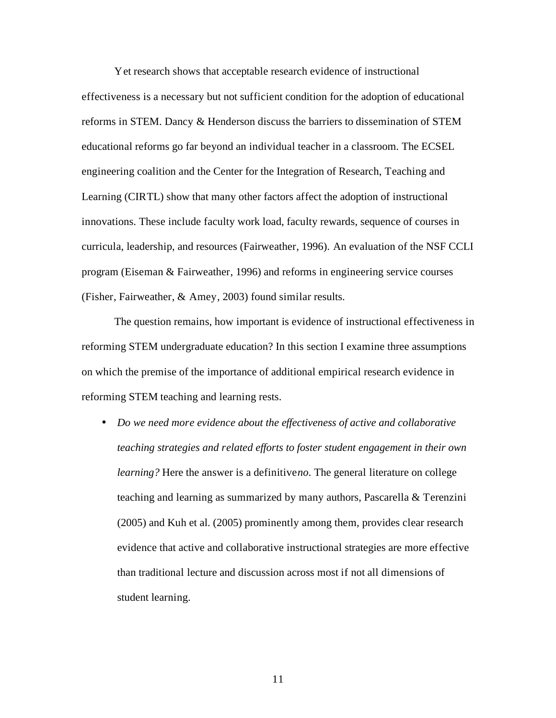Yet research shows that acceptable research evidence of instructional effectiveness is a necessary but not sufficient condition for the adoption of educational reforms in STEM. Dancy & Henderson discuss the barriers to dissemination of STEM educational reforms go far beyond an individual teacher in a classroom. The ECSEL engineering coalition and the Center for the Integration of Research, Teaching and Learning (CIRTL) show that many other factors affect the adoption of instructional innovations. These include faculty work load, faculty rewards, sequence of courses in curricula, leadership, and resources (Fairweather, 1996). An evaluation of the NSF CCLI program (Eiseman & Fairweather, 1996) and reforms in engineering service courses (Fisher, Fairweather, & Amey, 2003) found similar results.

The question remains, how important is evidence of instructional effectiveness in reforming STEM undergraduate education? In this section I examine three assumptions on which the premise of the importance of additional empirical research evidence in reforming STEM teaching and learning rests.

• *Do we need more evidence about the effectiveness of active and collaborative teaching strategies and related efforts to foster student engagement in their own learning?* Here the answer is a definitive *no*. The general literature on college teaching and learning as summarized by many authors, Pascarella & Terenzini (2005) and Kuh et al. (2005) prominently among them, provides clear research evidence that active and collaborative instructional strategies are more effective than traditional lecture and discussion across most if not all dimensions of student learning.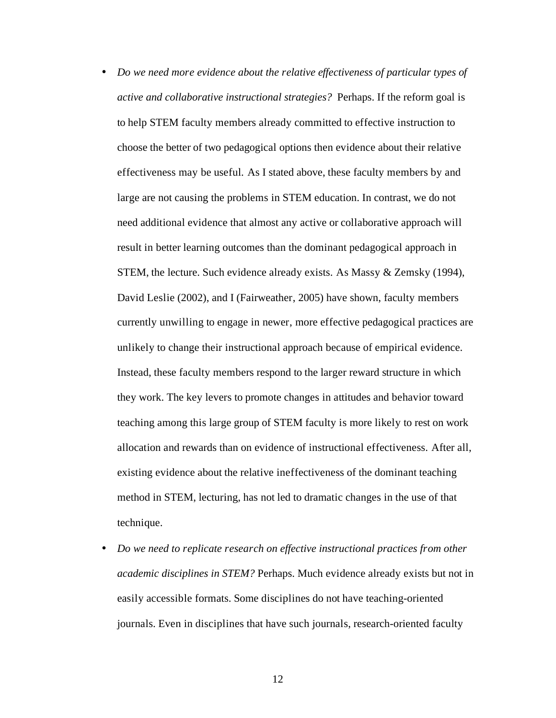- *Do we need more evidence about the relative effectiveness of particular types of active and collaborative instructional strategies?* Perhaps. If the reform goal is to help STEM faculty members already committed to effective instruction to choose the better of two pedagogical options then evidence about their relative effectiveness may be useful. As I stated above, these faculty members by and large are not causing the problems in STEM education. In contrast, we do not need additional evidence that almost any active or collaborative approach will result in better learning outcomes than the dominant pedagogical approach in STEM, the lecture. Such evidence already exists. As Massy & Zemsky (1994), David Leslie (2002), and I (Fairweather, 2005) have shown, faculty members currently unwilling to engage in newer, more effective pedagogical practices are unlikely to change their instructional approach because of empirical evidence. Instead, these faculty members respond to the larger reward structure in which they work. The key levers to promote changes in attitudes and behavior toward teaching among this large group of STEM faculty is more likely to rest on work allocation and rewards than on evidence of instructional effectiveness. After all, existing evidence about the relative ineffectiveness of the dominant teaching method in STEM, lecturing, has not led to dramatic changes in the use of that technique.
- *Do we need to replicate research on effective instructional practices from other academic disciplines in STEM?* Perhaps. Much evidence already exists but not in easily accessible formats. Some disciplines do not have teaching-oriented journals. Even in disciplines that have such journals, research-oriented faculty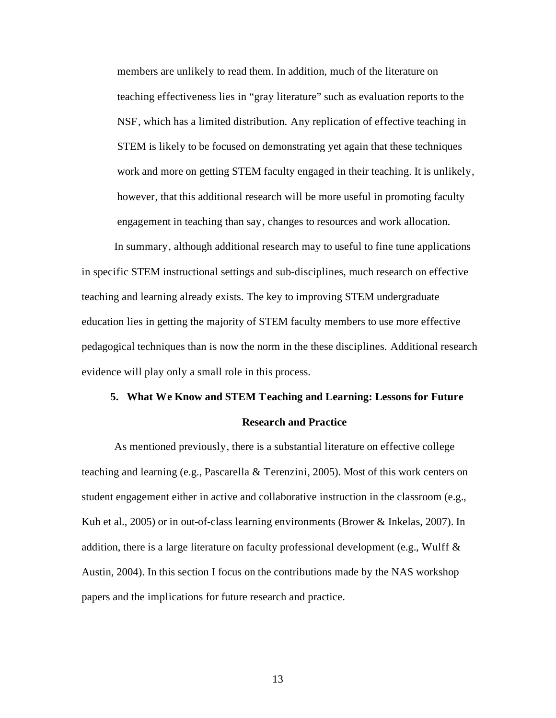members are unlikely to read them. In addition, much of the literature on teaching effectiveness lies in "gray literature" such as evaluation reports to the NSF, which has a limited distribution. Any replication of effective teaching in STEM is likely to be focused on demonstrating yet again that these techniques work and more on getting STEM faculty engaged in their teaching. It is unlikely, however, that this additional research will be more useful in promoting faculty engagement in teaching than say, changes to resources and work allocation.

In summary, although additional research may to useful to fine tune applications in specific STEM instructional settings and sub-disciplines, much research on effective teaching and learning already exists. The key to improving STEM undergraduate education lies in getting the majority of STEM faculty members to use more effective pedagogical techniques than is now the norm in the these disciplines. Additional research evidence will play only a small role in this process.

### **5. What We Know and STEM Teaching and Learning: Lessons for Future**

#### **Research and Practice**

As mentioned previously, there is a substantial literature on effective college teaching and learning (e.g., Pascarella & Terenzini, 2005). Most of this work centers on student engagement either in active and collaborative instruction in the classroom (e.g., Kuh et al., 2005) or in out-of-class learning environments (Brower & Inkelas, 2007). In addition, there is a large literature on faculty professional development (e.g., Wulff  $\&$ Austin, 2004). In this section I focus on the contributions made by the NAS workshop papers and the implications for future research and practice.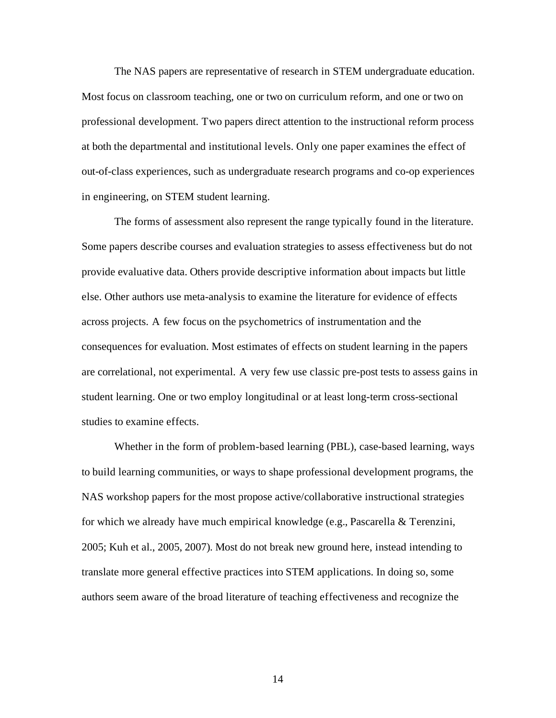The NAS papers are representative of research in STEM undergraduate education. Most focus on classroom teaching, one or two on curriculum reform, and one or two on professional development. Two papers direct attention to the instructional reform process at both the departmental and institutional levels. Only one paper examines the effect of out-of-class experiences, such as undergraduate research programs and co-op experiences in engineering, on STEM student learning.

The forms of assessment also represent the range typically found in the literature. Some papers describe courses and evaluation strategies to assess effectiveness but do not provide evaluative data. Others provide descriptive information about impacts but little else. Other authors use meta-analysis to examine the literature for evidence of effects across projects. A few focus on the psychometrics of instrumentation and the consequences for evaluation. Most estimates of effects on student learning in the papers are correlational, not experimental. A very few use classic pre-post tests to assess gains in student learning. One or two employ longitudinal or at least long-term cross-sectional studies to examine effects.

Whether in the form of problem-based learning (PBL), case-based learning, ways to build learning communities, or ways to shape professional development programs, the NAS workshop papers for the most propose active/collaborative instructional strategies for which we already have much empirical knowledge (e.g., Pascarella & Terenzini, 2005; Kuh et al., 2005, 2007). Most do not break new ground here, instead intending to translate more general effective practices into STEM applications. In doing so, some authors seem aware of the broad literature of teaching effectiveness and recognize the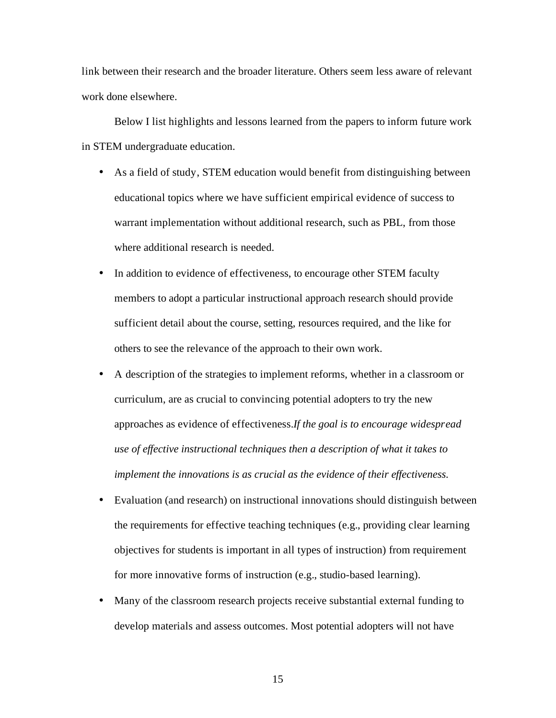link between their research and the broader literature. Others seem less aware of relevant work done elsewhere.

Below I list highlights and lessons learned from the papers to inform future work in STEM undergraduate education.

- As a field of study, STEM education would benefit from distinguishing between educational topics where we have sufficient empirical evidence of success to warrant implementation without additional research, such as PBL, from those where additional research is needed.
- In addition to evidence of effectiveness, to encourage other STEM faculty members to adopt a particular instructional approach research should provide sufficient detail about the course, setting, resources required, and the like for others to see the relevance of the approach to their own work.
- A description of the strategies to implement reforms, whether in a classroom or curriculum, are as crucial to convincing potential adopters to try the new approaches as evidence of effectiveness. *If the goal is to encourage widespread use of effective instructional techniques then a description of what it takes to implement the innovations is as crucial as the evidence of their effectiveness.*
- Evaluation (and research) on instructional innovations should distinguish between the requirements for effective teaching techniques (e.g., providing clear learning objectives for students is important in all types of instruction) from requirement for more innovative forms of instruction (e.g., studio-based learning).
- Many of the classroom research projects receive substantial external funding to develop materials and assess outcomes. Most potential adopters will not have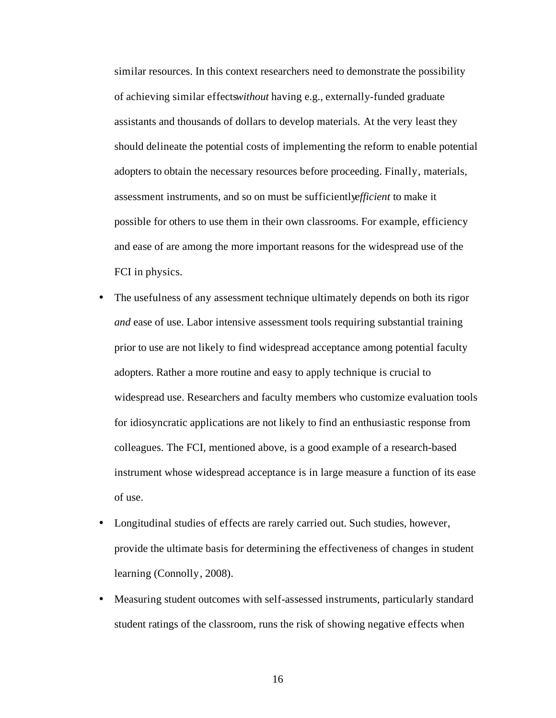similar resources. In this context researchers need to demonstrate the possibility of achieving similar effectswithout having e.g., externally-funded graduate assistants and thousands of dollars to develop materials. At the very least they should delineate the potential costs of implementing the reform to enable potential adopters to obtain the necessary resources before proceeding. Finally, materials, assessment instruments, and so on must be sufficiently *efficient* to make it possible for others to use them in their own classrooms. For example, efficiency and ease of are among the more important reasons for the widespread use of the FCI in physics.

- The usefulness of any assessment technique ultimately depends on both its rigor *and* ease of use. Labor intensive assessment tools requiring substantial training prior to use are not likely to find widespread acceptance among potential faculty adopters. Rather a more routine and easy to apply technique is crucial to widespread use. Researchers and faculty members who customize evaluation tools for idiosyncratic applications are not likely to find an enthusiastic response from colleagues. The FCI, mentioned above, is a good example of a research-based instrument whose widespread acceptance is in large measure a function of its ease of use.
- Longitudinal studies of effects are rarely carried out. Such studies, however, provide the ultimate basis for determining the effectiveness of changes in student learning (Connolly, 2008).
- Measuring student outcomes with self-assessed instruments, particularly standard student ratings of the classroom, runs the risk of showing negative effects when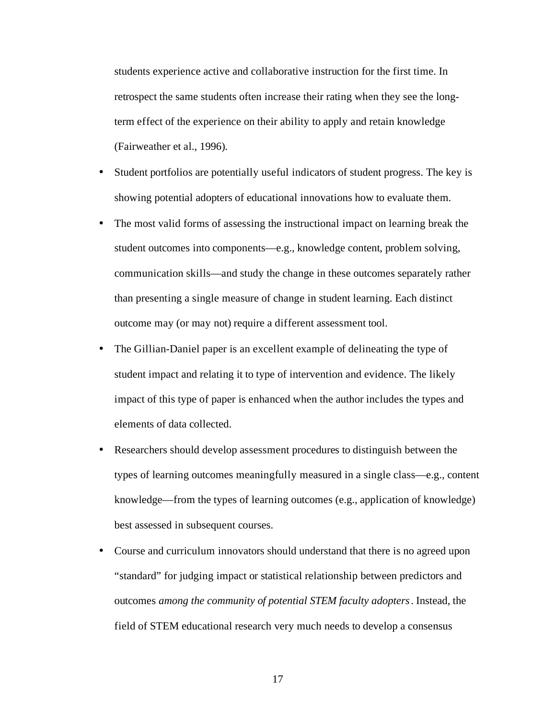students experience active and collaborative instruction for the first time. In retrospect the same students often increase their rating when they see the longterm effect of the experience on their ability to apply and retain knowledge (Fairweather et al., 1996).

- Student portfolios are potentially useful indicators of student progress. The key is showing potential adopters of educational innovations how to evaluate them.
- The most valid forms of assessing the instructional impact on learning break the student outcomes into components—e.g., knowledge content, problem solving, communication skills—and study the change in these outcomes separately rather than presenting a single measure of change in student learning. Each distinct outcome may (or may not) require a different assessment tool.
- The Gillian-Daniel paper is an excellent example of delineating the type of student impact and relating it to type of intervention and evidence. The likely impact of this type of paper is enhanced when the author includes the types and elements of data collected.
- Researchers should develop assessment procedures to distinguish between the types of learning outcomes meaningfully measured in a single class—e.g., content knowledge—from the types of learning outcomes (e.g., application of knowledge) best assessed in subsequent courses.
- Course and curriculum innovators should understand that there is no agreed upon "standard" for judging impact or statistical relationship between predictors and outcomes *among the community of potential STEM faculty adopters*. Instead, the field of STEM educational research very much needs to develop a consensus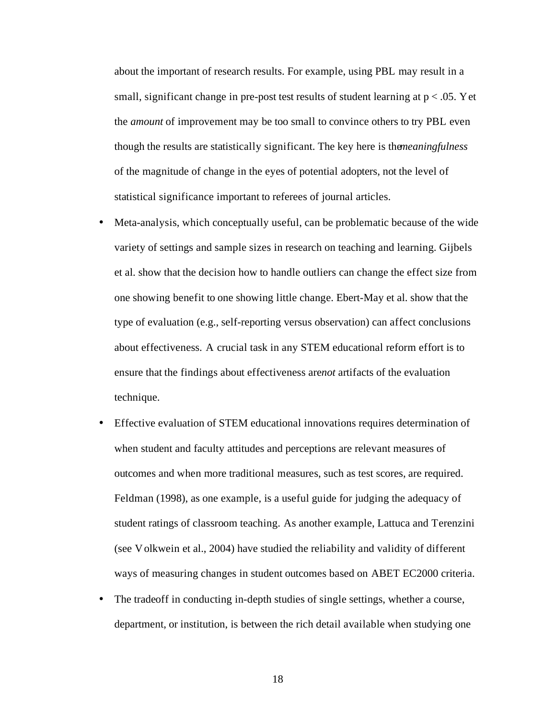about the important of research results. For example, using PBL may result in a small, significant change in pre-post test results of student learning at  $p < .05$ . Yet the *amount* of improvement may be too small to convince others to try PBL even though the results are statistically significant. The key here is the *meaningfulness* of the magnitude of change in the eyes of potential adopters, not the level of statistical significance important to referees of journal articles.

- Meta-analysis, which conceptually useful, can be problematic because of the wide variety of settings and sample sizes in research on teaching and learning. Gijbels et al. show that the decision how to handle outliers can change the effect size from one showing benefit to one showing little change. Ebert-May et al. show that the type of evaluation (e.g., self-reporting versus observation) can affect conclusions about effectiveness. A crucial task in any STEM educational reform effort is to ensure that the findings about effectiveness are*not* artifacts of the evaluation technique.
- Effective evaluation of STEM educational innovations requires determination of when student and faculty attitudes and perceptions are relevant measures of outcomes and when more traditional measures, such as test scores, are required. Feldman (1998), as one example, is a useful guide for judging the adequacy of student ratings of classroom teaching. As another example, Lattuca and Terenzini (see Volkwein et al., 2004) have studied the reliability and validity of different ways of measuring changes in student outcomes based on ABET EC2000 criteria.
- The tradeoff in conducting in-depth studies of single settings, whether a course, department, or institution, is between the rich detail available when studying one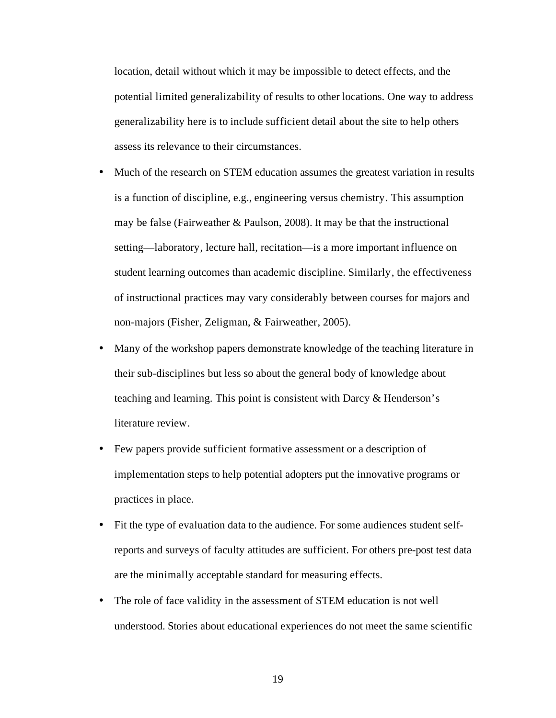location, detail without which it may be impossible to detect effects, and the potential limited generalizability of results to other locations. One way to address generalizability here is to include sufficient detail about the site to help others assess its relevance to their circumstances.

- Much of the research on STEM education assumes the greatest variation in results is a function of discipline, e.g., engineering versus chemistry. This assumption may be false (Fairweather & Paulson, 2008). It may be that the instructional setting—laboratory, lecture hall, recitation—is a more important influence on student learning outcomes than academic discipline. Similarly, the effectiveness of instructional practices may vary considerably between courses for majors and non-majors (Fisher, Zeligman, & Fairweather, 2005).
- Many of the workshop papers demonstrate knowledge of the teaching literature in their sub-disciplines but less so about the general body of knowledge about teaching and learning. This point is consistent with Darcy & Henderson's literature review.
- Few papers provide sufficient formative assessment or a description of implementation steps to help potential adopters put the innovative programs or practices in place.
- Fit the type of evaluation data to the audience. For some audiences student selfreports and surveys of faculty attitudes are sufficient. For others pre-post test data are the minimally acceptable standard for measuring effects.
- The role of face validity in the assessment of STEM education is not well understood. Stories about educational experiences do not meet the same scientific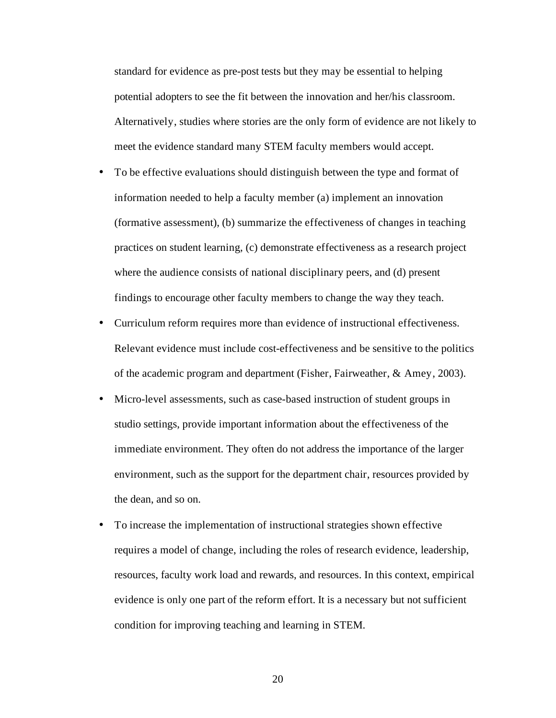standard for evidence as pre-post tests but they may be essential to helping potential adopters to see the fit between the innovation and her/his classroom. Alternatively, studies where stories are the only form of evidence are not likely to meet the evidence standard many STEM faculty members would accept.

- To be effective evaluations should distinguish between the type and format of information needed to help a faculty member (a) implement an innovation (formative assessment), (b) summarize the effectiveness of changes in teaching practices on student learning, (c) demonstrate effectiveness as a research project where the audience consists of national disciplinary peers, and (d) present findings to encourage other faculty members to change the way they teach.
- Curriculum reform requires more than evidence of instructional effectiveness. Relevant evidence must include cost-effectiveness and be sensitive to the politics of the academic program and department (Fisher, Fairweather, & Amey, 2003).
- Micro-level assessments, such as case-based instruction of student groups in studio settings, provide important information about the effectiveness of the immediate environment. They often do not address the importance of the larger environment, such as the support for the department chair, resources provided by the dean, and so on.
- To increase the implementation of instructional strategies shown effective requires a model of change, including the roles of research evidence, leadership, resources, faculty work load and rewards, and resources. In this context, empirical evidence is only one part of the reform effort. It is a necessary but not sufficient condition for improving teaching and learning in STEM.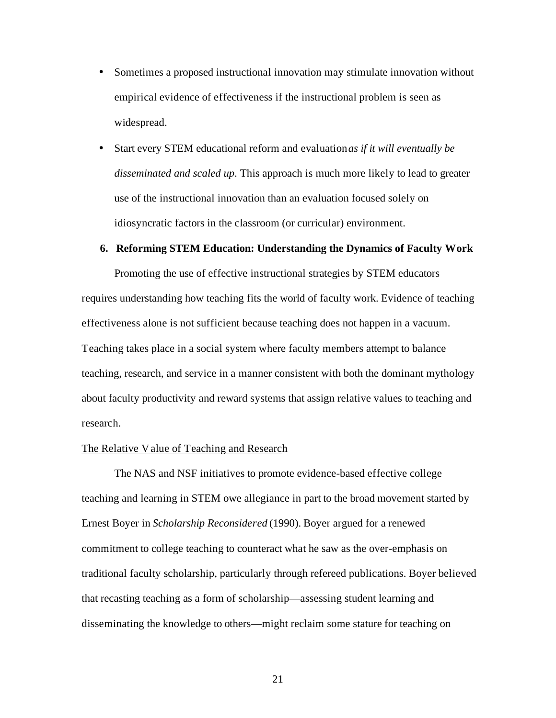- Sometimes a proposed instructional innovation may stimulate innovation without empirical evidence of effectiveness if the instructional problem is seen as widespread.
- Start every STEM educational reform and evaluation *as if it will eventually be disseminated and scaled up*. This approach is much more likely to lead to greater use of the instructional innovation than an evaluation focused solely on idiosyncratic factors in the classroom (or curricular) environment.

#### **6. Reforming STEM Education: Understanding the Dynamics of Faculty Work**

Promoting the use of effective instructional strategies by STEM educators requires understanding how teaching fits the world of faculty work. Evidence of teaching effectiveness alone is not sufficient because teaching does not happen in a vacuum. Teaching takes place in a social system where faculty members attempt to balance teaching, research, and service in a manner consistent with both the dominant mythology about faculty productivity and reward systems that assign relative values to teaching and research.

### The Relative Value of Teaching and Research

The NAS and NSF initiatives to promote evidence-based effective college teaching and learning in STEM owe allegiance in part to the broad movement started by Ernest Boyer in *Scholarship Reconsidered* (1990). Boyer argued for a renewed commitment to college teaching to counteract what he saw as the over-emphasis on traditional faculty scholarship, particularly through refereed publications. Boyer believed that recasting teaching as a form of scholarship—assessing student learning and disseminating the knowledge to others—might reclaim some stature for teaching on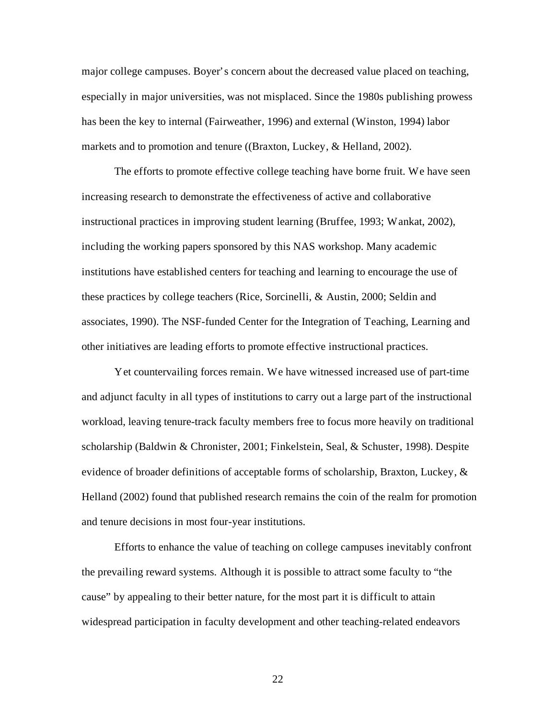major college campuses. Boyer's concern about the decreased value placed on teaching, especially in major universities, was not misplaced. Since the 1980s publishing prowess has been the key to internal (Fairweather, 1996) and external (Winston, 1994) labor markets and to promotion and tenure ((Braxton, Luckey, & Helland, 2002).

The efforts to promote effective college teaching have borne fruit. We have seen increasing research to demonstrate the effectiveness of active and collaborative instructional practices in improving student learning (Bruffee, 1993; Wankat, 2002), including the working papers sponsored by this NAS workshop. Many academic institutions have established centers for teaching and learning to encourage the use of these practices by college teachers (Rice, Sorcinelli, & Austin, 2000; Seldin and associates, 1990). The NSF-funded Center for the Integration of Teaching, Learning and other initiatives are leading efforts to promote effective instructional practices.

Yet countervailing forces remain. We have witnessed increased use of part-time and adjunct faculty in all types of institutions to carry out a large part of the instructional workload, leaving tenure-track faculty members free to focus more heavily on traditional scholarship (Baldwin & Chronister, 2001; Finkelstein, Seal, & Schuster, 1998). Despite evidence of broader definitions of acceptable forms of scholarship, Braxton, Luckey, & Helland (2002) found that published research remains the coin of the realm for promotion and tenure decisions in most four-year institutions.

Efforts to enhance the value of teaching on college campuses inevitably confront the prevailing reward systems. Although it is possible to attract some faculty to "the cause" by appealing to their better nature, for the most part it is difficult to attain widespread participation in faculty development and other teaching-related endeavors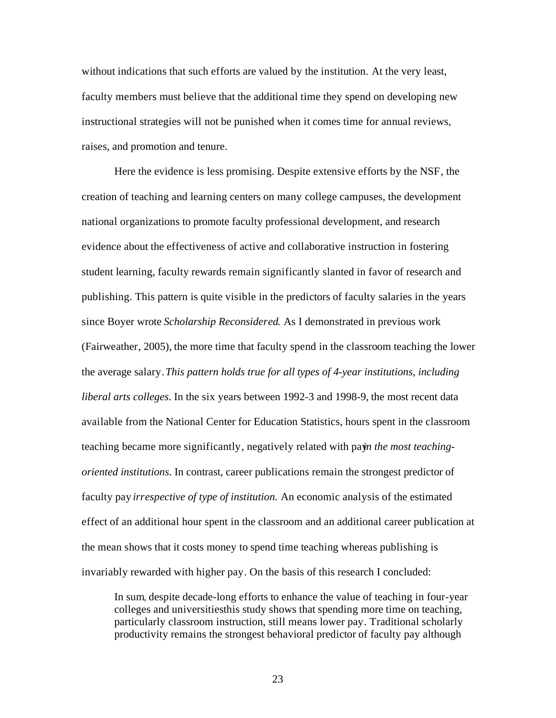without indications that such efforts are valued by the institution. At the very least, faculty members must believe that the additional time they spend on developing new instructional strategies will not be punished when it comes time for annual reviews, raises, and promotion and tenure.

Here the evidence is less promising. Despite extensive efforts by the NSF, the creation of teaching and learning centers on many college campuses, the development national organizations to promote faculty professional development, and research evidence about the effectiveness of active and collaborative instruction in fostering student learning, faculty rewards remain significantly slanted in favor of research and publishing. This pattern is quite visible in the predictors of faculty salaries in the years since Boyer wrote *Scholarship Reconsidered*. As I demonstrated in previous work (Fairweather, 2005), the more time that faculty spend in the classroom teaching the lower the average salary. *This pattern holds true for all types of 4-year institutions, including liberal arts colleges*. In the six years between 1992-3 and 1998-9, the most recent data available from the National Center for Education Statistics, hours spent in the classroom teaching became more significantly, negatively related with pay*n* the most teaching*oriented institutions*. In contrast, career publications remain the strongest predictor of faculty pay *irrespective of type of institution*. An economic analysis of the estimated effect of an additional hour spent in the classroom and an additional career publication at the mean shows that it costs money to spend time teaching whereas publishing is invariably rewarded with higher pay. On the basis of this research I concluded:

In sum, despite decade-long efforts to enhance the value of teaching in four-year colleges and universitiesthis study shows that spending more time on teaching, particularly classroom instruction, still means lower pay. Traditional scholarly productivity remains the strongest behavioral predictor of faculty pay although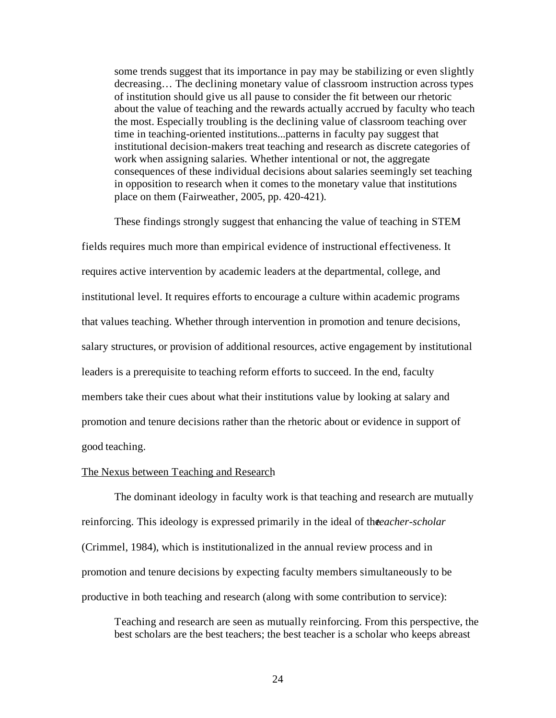some trends suggest that its importance in pay may be stabilizing or even slightly decreasing… The declining monetary value of classroom instruction across types of institution should give us all pause to consider the fit between our rhetoric about the value of teaching and the rewards actually accrued by faculty who teach the most. Especially troubling is the declining value of classroom teaching over time in teaching-oriented institutions...patterns in faculty pay suggest that institutional decision-makers treat teaching and research as discrete categories of work when assigning salaries. Whether intentional or not, the aggregate consequences of these individual decisions about salaries seemingly set teaching in opposition to research when it comes to the monetary value that institutions place on them (Fairweather, 2005, pp. 420-421).

These findings strongly suggest that enhancing the value of teaching in STEM fields requires much more than empirical evidence of instructional effectiveness. It requires active intervention by academic leaders at the departmental, college, and institutional level. It requires efforts to encourage a culture within academic programs that values teaching. Whether through intervention in promotion and tenure decisions, salary structures, or provision of additional resources, active engagement by institutional leaders is a prerequisite to teaching reform efforts to succeed. In the end, faculty members take their cues about what their institutions value by looking at salary and promotion and tenure decisions rather than the rhetoric about or evidence in support of good teaching.

#### The Nexus between Teaching and Research

The dominant ideology in faculty work is that teaching and research are mutually reinforcing. This ideology is expressed primarily in the ideal of the *eacher-scholar* (Crimmel, 1984), which is institutionalized in the annual review process and in promotion and tenure decisions by expecting faculty members simultaneously to be productive in both teaching and research (along with some contribution to service):

Teaching and research are seen as mutually reinforcing. From this perspective, the best scholars are the best teachers; the best teacher is a scholar who keeps abreast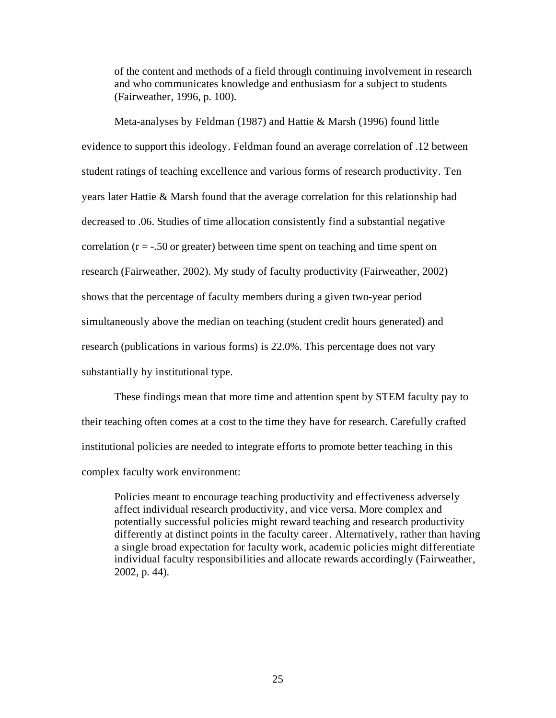of the content and methods of a field through continuing involvement in research and who communicates knowledge and enthusiasm for a subject to students (Fairweather, 1996, p. 100).

Meta-analyses by Feldman (1987) and Hattie & Marsh (1996) found little evidence to support this ideology. Feldman found an average correlation of .12 between student ratings of teaching excellence and various forms of research productivity. Ten years later Hattie & Marsh found that the average correlation for this relationship had decreased to .06. Studies of time allocation consistently find a substantial negative correlation  $(r = -0.50$  or greater) between time spent on teaching and time spent on research (Fairweather, 2002). My study of faculty productivity (Fairweather, 2002) shows that the percentage of faculty members during a given two-year period simultaneously above the median on teaching (student credit hours generated) and research (publications in various forms) is 22.0%. This percentage does not vary substantially by institutional type.

These findings mean that more time and attention spent by STEM faculty pay to their teaching often comes at a cost to the time they have for research. Carefully crafted institutional policies are needed to integrate efforts to promote better teaching in this complex faculty work environment:

Policies meant to encourage teaching productivity and effectiveness adversely affect individual research productivity, and vice versa. More complex and potentially successful policies might reward teaching and research productivity differently at distinct points in the faculty career. Alternatively, rather than having a single broad expectation for faculty work, academic policies might differentiate individual faculty responsibilities and allocate rewards accordingly (Fairweather, 2002, p. 44).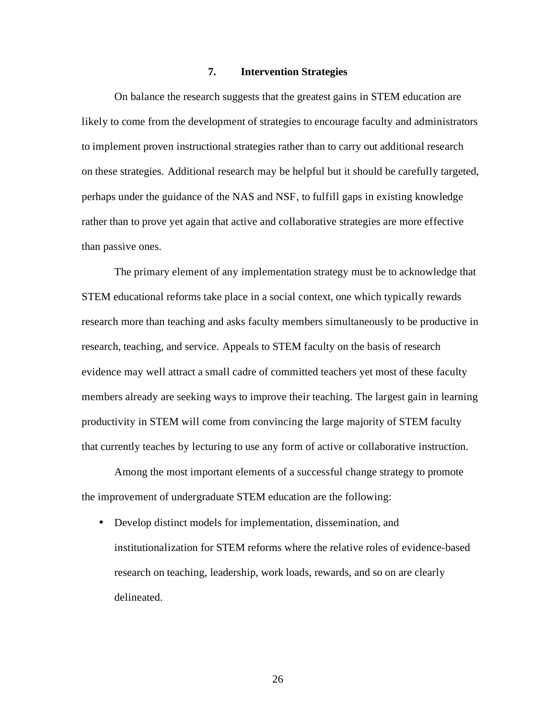### **7. Intervention Strategies**

On balance the research suggests that the greatest gains in STEM education are likely to come from the development of strategies to encourage faculty and administrators to implement proven instructional strategies rather than to carry out additional research on these strategies. Additional research may be helpful but it should be carefully targeted, perhaps under the guidance of the NAS and NSF, to fulfill gaps in existing knowledge rather than to prove yet again that active and collaborative strategies are more effective than passive ones.

The primary element of any implementation strategy must be to acknowledge that STEM educational reforms take place in a social context, one which typically rewards research more than teaching and asks faculty members simultaneously to be productive in research, teaching, and service. Appeals to STEM faculty on the basis of research evidence may well attract a small cadre of committed teachers yet most of these faculty members already are seeking ways to improve their teaching. The largest gain in learning productivity in STEM will come from convincing the large majority of STEM faculty that currently teaches by lecturing to use any form of active or collaborative instruction.

Among the most important elements of a successful change strategy to promote the improvement of undergraduate STEM education are the following:

• Develop distinct models for implementation, dissemination, and institutionalization for STEM reforms where the relative roles of evidence-based research on teaching, leadership, work loads, rewards, and so on are clearly delineated.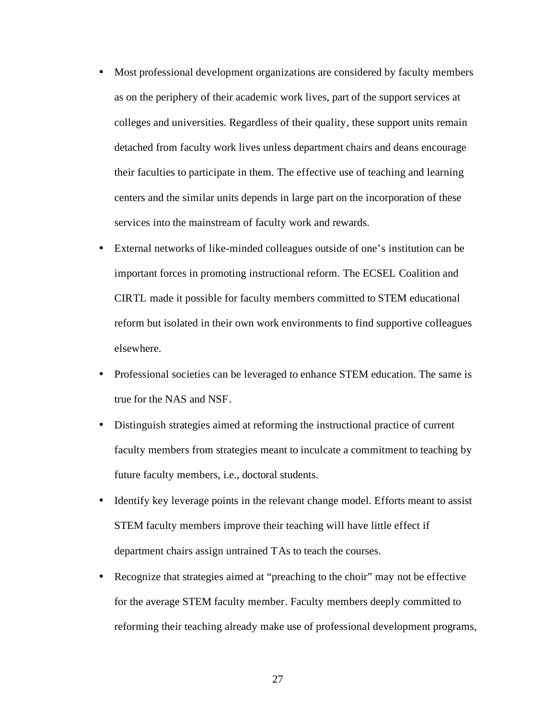- Most professional development organizations are considered by faculty members as on the periphery of their academic work lives, part of the support services at colleges and universities. Regardless of their quality, these support units remain detached from faculty work lives unless department chairs and deans encourage their faculties to participate in them. The effective use of teaching and learning centers and the similar units depends in large part on the incorporation of these services into the mainstream of faculty work and rewards.
- External networks of like-minded colleagues outside of one's institution can be important forces in promoting instructional reform. The ECSEL Coalition and CIRTL made it possible for faculty members committed to STEM educational reform but isolated in their own work environments to find supportive colleagues elsewhere.
- Professional societies can be leveraged to enhance STEM education. The same is true for the NAS and NSF.
- Distinguish strategies aimed at reforming the instructional practice of current faculty members from strategies meant to inculcate a commitment to teaching by future faculty members, i.e., doctoral students.
- Identify key leverage points in the relevant change model. Efforts meant to assist STEM faculty members improve their teaching will have little effect if department chairs assign untrained TAs to teach the courses.
- Recognize that strategies aimed at "preaching to the choir" may not be effective for the average STEM faculty member. Faculty members deeply committed to reforming their teaching already make use of professional development programs,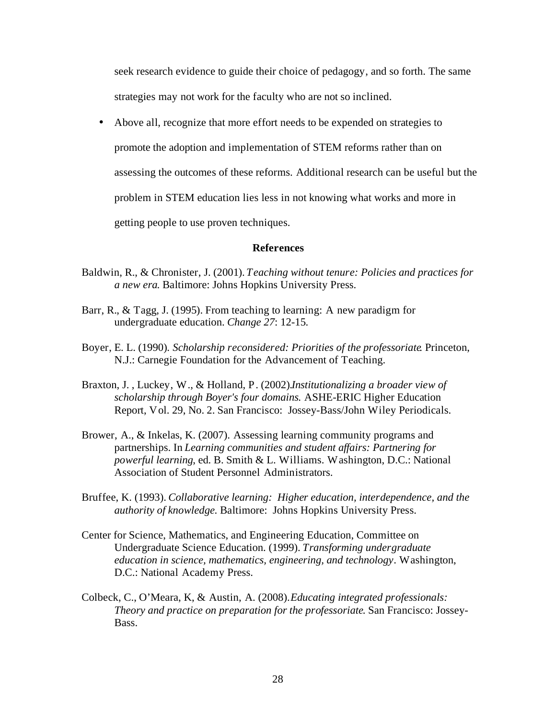seek research evidence to guide their choice of pedagogy, and so forth. The same strategies may not work for the faculty who are not so inclined.

• Above all, recognize that more effort needs to be expended on strategies to

promote the adoption and implementation of STEM reforms rather than on

assessing the outcomes of these reforms. Additional research can be useful but the

problem in STEM education lies less in not knowing what works and more in

getting people to use proven techniques.

### **References**

- Baldwin, R., & Chronister, J. (2001). *Teaching without tenure: Policies and practices for a new era*. Baltimore: Johns Hopkins University Press.
- Barr, R., & Tagg, J. (1995). From teaching to learning: A new paradigm for undergraduate education. *Change 27*: 12-15.
- Boyer, E. L. (1990). *Scholarship reconsidered: Priorities of the professoriate*. Princeton, N.J.: Carnegie Foundation for the Advancement of Teaching.
- Braxton, J. , Luckey, W., & Holland, P. (2002). *Institutionalizing a broader view of scholarship through Boyer's four domains*. ASHE-ERIC Higher Education Report, Vol. 29, No. 2. San Francisco: Jossey-Bass/John Wiley Periodicals.
- Brower, A., & Inkelas, K. (2007). Assessing learning community programs and partnerships. In *Learning communities and student affairs: Partnering for powerful learning*, ed. B. Smith & L. Williams. Washington, D.C.: National Association of Student Personnel Administrators.
- Bruffee, K. (1993). *Collaborative learning: Higher education, interdependence, and the authority of knowledge*. Baltimore: Johns Hopkins University Press.
- Center for Science, Mathematics, and Engineering Education, Committee on Undergraduate Science Education. (1999). *Transforming undergraduate education in science, mathematics, engineering, and technology*. Washington, D.C.: National Academy Press.
- Colbeck, C., O'Meara, K, & Austin, A. (2008). *Educating integrated professionals: Theory and practice on preparation for the professoriate*. San Francisco: Jossey-Bass.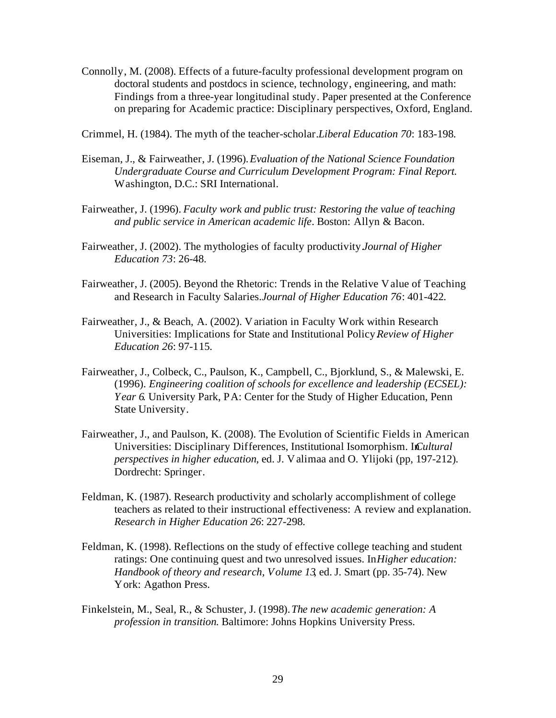- Connolly, M. (2008). Effects of a future-faculty professional development program on doctoral students and postdocs in science, technology, engineering, and math: Findings from a three-year longitudinal study. Paper presented at the Conference on preparing for Academic practice: Disciplinary perspectives, Oxford, England.
- Crimmel, H. (1984). The myth of the teacher-scholar. *Liberal Education 70*: 183-198.
- Eiseman, J., & Fairweather, J. (1996). *Evaluation of the National Science Foundation Undergraduate Course and Curriculum Development Program: Final Report.* Washington, D.C.: SRI International.
- Fairweather, J. (1996). *Faculty work and public trust: Restoring the value of teaching and public service in American academic life*. Boston: Allyn & Bacon.
- Fairweather, J. (2002). The mythologies of faculty productivity. *Journal of Higher Education 73*: 26-48.
- Fairweather, J. (2005). Beyond the Rhetoric: Trends in the Relative Value of Teaching and Research in Faculty Salaries. *Journal of Higher Education 76*: 401-422.
- Fairweather, J., & Beach, A. (2002). Variation in Faculty Work within Research Universities: Implications for State and Institutional Policy. *Review of Higher Education 26*: 97-115.
- Fairweather, J., Colbeck, C., Paulson, K., Campbell, C., Bjorklund, S., & Malewski, E. (1996). *Engineering coalition of schools for excellence and leadership (ECSEL): Year 6*. University Park, PA: Center for the Study of Higher Education, Penn State University.
- Fairweather, J., and Paulson, K. (2008). The Evolution of Scientific Fields in American Universities: Disciplinary Differences, Institutional Isomorphism. In Cultural *perspectives in higher education*, ed. J. Valimaa and O. Ylijoki (pp, 197-212). Dordrecht: Springer.
- Feldman, K. (1987). Research productivity and scholarly accomplishment of college teachers as related to their instructional effectiveness: A review and explanation. *Research in Higher Education 26*: 227-298.
- Feldman, K. (1998). Reflections on the study of effective college teaching and student ratings: One continuing quest and two unresolved issues. In *Higher education: Handbook of theory and research, Volume 13*, ed. J. Smart (pp. 35-74). New York: Agathon Press.
- Finkelstein, M., Seal, R., & Schuster, J. (1998). *The new academic generation: A profession in transition*. Baltimore: Johns Hopkins University Press.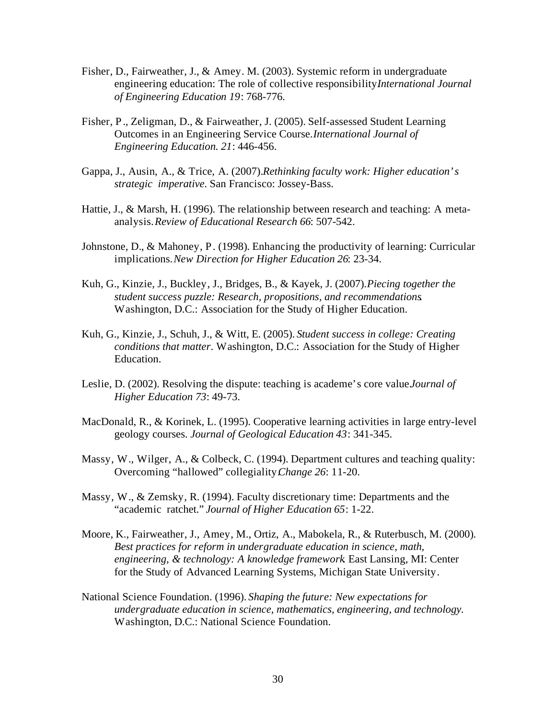- Fisher, D., Fairweather, J., & Amey. M. (2003). Systemic reform in undergraduate engineering education: The role of collective responsibility*International Journal* . *of Engineering Education 19*: 768-776.
- Fisher, P., Zeligman, D., & Fairweather, J. (2005). Self-assessed Student Learning Outcomes in an Engineering Service Course. *International Journal of Engineering Education. 21*: 446-456.
- Gappa, J., Ausin, A., & Trice, A. (2007). *Rethinking faculty work: Higher education's strategic imperative*. San Francisco: Jossey-Bass.
- Hattie, J., & Marsh, H. (1996). The relationship between research and teaching: A metaanalysis. *Review of Educational Research 66*: 507-542.
- Johnstone, D., & Mahoney, P. (1998). Enhancing the productivity of learning: Curricular implications. *New Direction for Higher Education 26*: 23-34.
- Kuh, G., Kinzie, J., Buckley, J., Bridges, B., & Kayek, J. (2007). *Piecing together the student success puzzle: Research, propositions, and recommendations*. Washington, D.C.: Association for the Study of Higher Education.
- Kuh, G., Kinzie, J., Schuh, J., & Witt, E. (2005). *Student success in college: Creating conditions that matter*. Washington, D.C.: Association for the Study of Higher Education.
- Leslie, D. (2002). Resolving the dispute: teaching is academe's core value *Journal of Higher Education 73*: 49-73.
- MacDonald, R., & Korinek, L. (1995). Cooperative learning activities in large entry-level geology courses. *Journal of Geological Education 43*: 341-345.
- Massy, W., Wilger, A., & Colbeck, C. (1994). Department cultures and teaching quality: Overcoming "hallowed" collegiality. *Change 26*: 11-20.
- Massy, W., & Zemsky, R. (1994). Faculty discretionary time: Departments and the "academic ratchet." *Journal of Higher Education 65*: 1-22.
- Moore, K., Fairweather, J., Amey, M., Ortiz, A., Mabokela, R., & Ruterbusch, M. (2000). *Best practices for reform in undergraduate education in science, math, engineering, & technology: A knowledge framework*. East Lansing, MI: Center for the Study of Advanced Learning Systems, Michigan State University.
- National Science Foundation. (1996). *Shaping the future: New expectations for undergraduate education in science, mathematics, engineering, and technology*. Washington, D.C.: National Science Foundation.